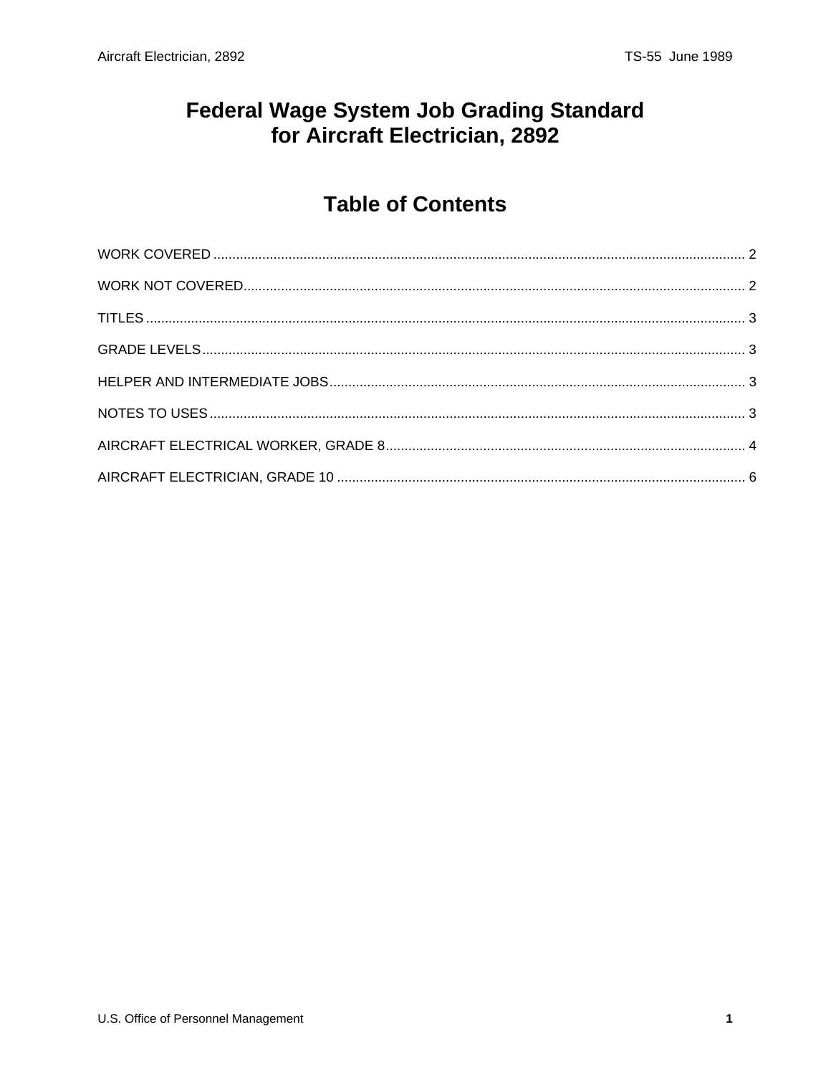#### **Federal Wage System Job Grading Standard** for Aircraft Electrician, 2892

## **Table of Contents**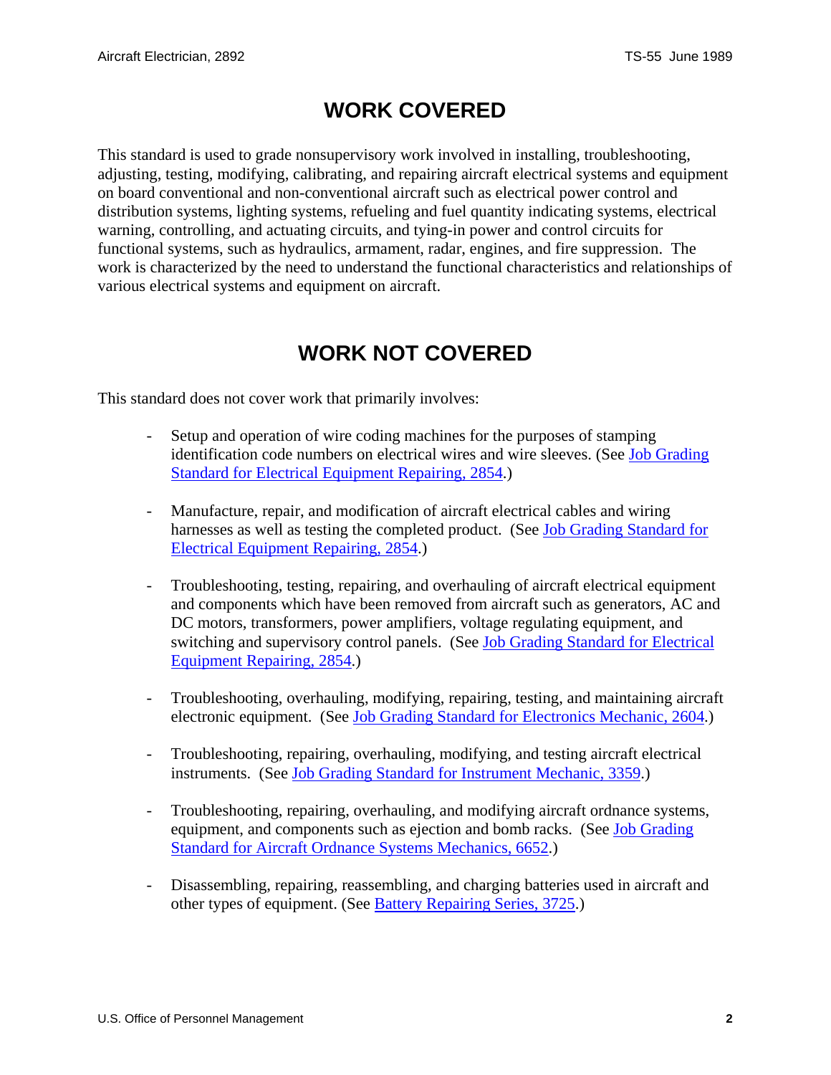#### **WORK COVERED**

<span id="page-1-0"></span>This standard is used to grade nonsupervisory work involved in installing, troubleshooting, adjusting, testing, modifying, calibrating, and repairing aircraft electrical systems and equipment on board conventional and non-conventional aircraft such as electrical power control and distribution systems, lighting systems, refueling and fuel quantity indicating systems, electrical warning, controlling, and actuating circuits, and tying-in power and control circuits for functional systems, such as hydraulics, armament, radar, engines, and fire suppression. The work is characterized by the need to understand the functional characteristics and relationships of various electrical systems and equipment on aircraft.

#### **WORK NOT COVERED**

This standard does not cover work that primarily involves:

- Setup and operation of wire coding machines for the purposes of stamping identification code numbers on electrical wires and wire sleeves. (See Job Grading Standard for Electrical Equipment Repairing, 2854.)
- Manufacture, repair, and modification of aircraft electrical cables and wiring harnesses as well as testing the completed product. (See Job Grading Standard for Electrical Equipment Repairing, 2854.)
- Troubleshooting, testing, repairing, and overhauling of aircraft electrical equipment and components which have been removed from aircraft such as generators, AC and DC motors, transformers, power amplifiers, voltage regulating equipment, and switching and supervisory control panels. (See Job Grading Standard for Electrical Equipment Repairing, 2854.)
- Troubleshooting, overhauling, modifying, repairing, testing, and maintaining aircraft electronic equipment. (See Job Grading Standard for Electronics Mechanic, 2604.)
- Troubleshooting, repairing, overhauling, modifying, and testing aircraft electrical instruments. (See Job Grading Standard for Instrument Mechanic, 3359.)
- Troubleshooting, repairing, overhauling, and modifying aircraft ordnance systems, equipment, and components such as ejection and bomb racks. (See Job Grading Standard for Aircraft Ordnance Systems Mechanics, 6652.)
- Disassembling, repairing, reassembling, and charging batteries used in aircraft and other types of equipment. (See Battery Repairing Series, 3725.)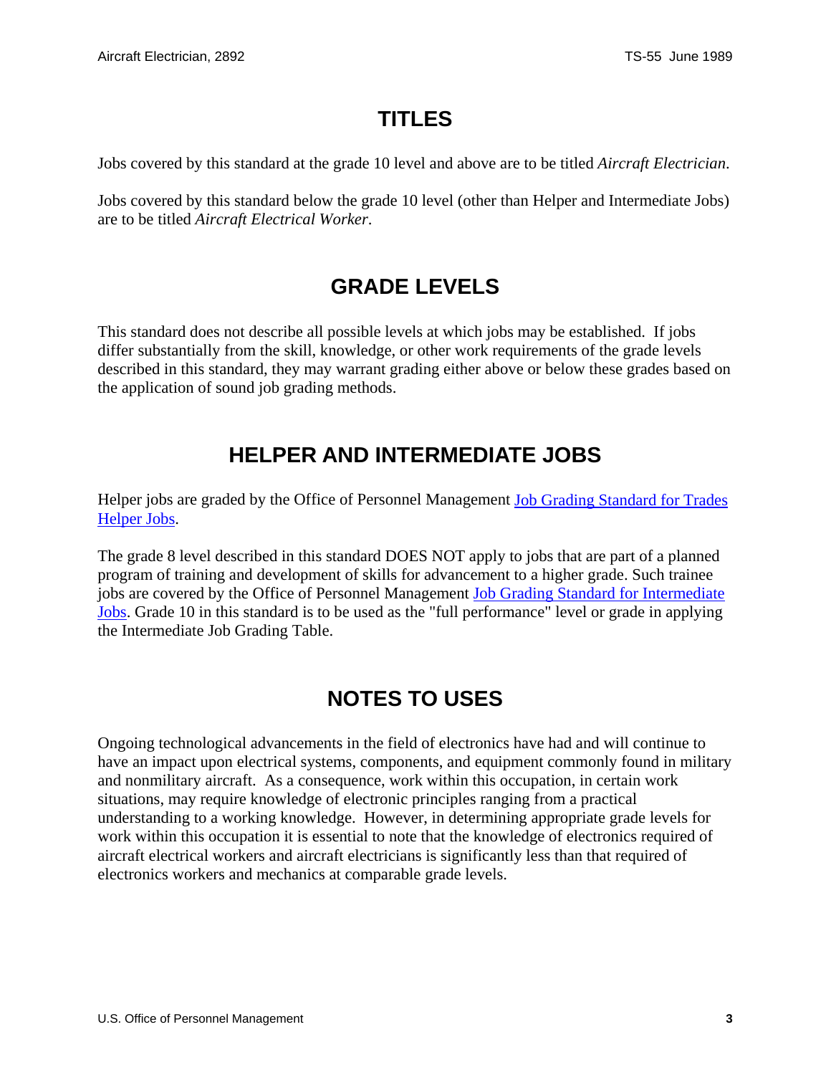## **TITLES**

<span id="page-2-0"></span>Jobs covered by this standard at the grade 10 level and above are to be titled *Aircraft Electrician*.

Jobs covered by this standard below the grade 10 level (other than Helper and Intermediate Jobs) are to be titled *Aircraft Electrical Worker*.

## **GRADE LEVELS**

This standard does not describe all possible levels at which jobs may be established. If jobs differ substantially from the skill, knowledge, or other work requirements of the grade levels described in this standard, they may warrant grading either above or below these grades based on the application of sound job grading methods.

## **HELPER AND INTERMEDIATE JOBS**

Helper jobs are graded by the Office of Personnel Management Job Grading Standard for Trades Helper Jobs.

The grade 8 level described in this standard DOES NOT apply to jobs that are part of a planned program of training and development of skills for advancement to a higher grade. Such trainee jobs are covered by the Office of Personnel Management Job Grading Standard for Intermediate Jobs. Grade 10 in this standard is to be used as the "full performance" level or grade in applying the Intermediate Job Grading Table.

# **NOTES TO USES**

Ongoing technological advancements in the field of electronics have had and will continue to have an impact upon electrical systems, components, and equipment commonly found in military and nonmilitary aircraft. As a consequence, work within this occupation, in certain work situations, may require knowledge of electronic principles ranging from a practical understanding to a working knowledge. However, in determining appropriate grade levels for work within this occupation it is essential to note that the knowledge of electronics required of aircraft electrical workers and aircraft electricians is significantly less than that required of electronics workers and mechanics at comparable grade levels.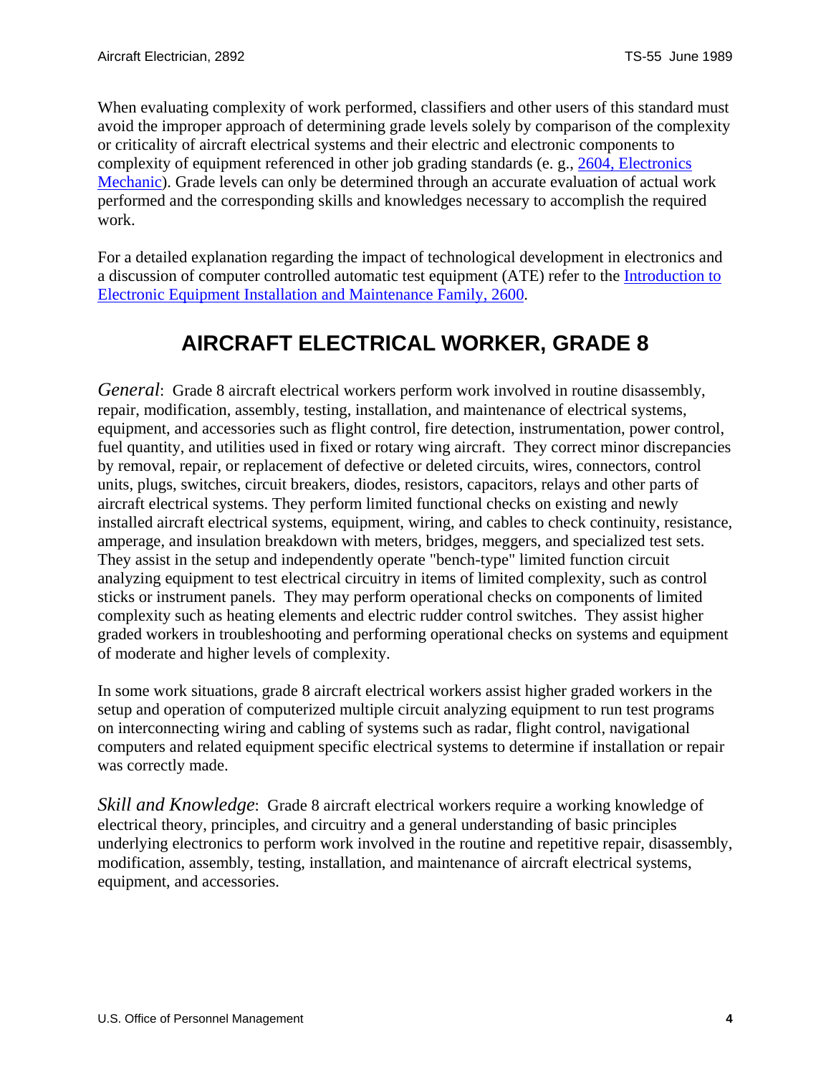<span id="page-3-0"></span>When evaluating complexity of work performed, classifiers and other users of this standard must avoid the improper approach of determining grade levels solely by comparison of the complexity or criticality of aircraft electrical systems and their electric and electronic components to complexity of equipment referenced in other job grading standards (e. g., 2604, Electronics Mechanic). Grade levels can only be determined through an accurate evaluation of actual work performed and the corresponding skills and knowledges necessary to accomplish the required work.

For a detailed explanation regarding the impact of technological development in electronics and a discussion of computer controlled automatic test equipment (ATE) refer to the Introduction to Electronic Equipment Installation and Maintenance Family, 2600.

## **AIRCRAFT ELECTRICAL WORKER, GRADE 8**

*General*: Grade 8 aircraft electrical workers perform work involved in routine disassembly, repair, modification, assembly, testing, installation, and maintenance of electrical systems, equipment, and accessories such as flight control, fire detection, instrumentation, power control, fuel quantity, and utilities used in fixed or rotary wing aircraft. They correct minor discrepancies by removal, repair, or replacement of defective or deleted circuits, wires, connectors, control units, plugs, switches, circuit breakers, diodes, resistors, capacitors, relays and other parts of aircraft electrical systems. They perform limited functional checks on existing and newly installed aircraft electrical systems, equipment, wiring, and cables to check continuity, resistance, amperage, and insulation breakdown with meters, bridges, meggers, and specialized test sets. They assist in the setup and independently operate "bench-type" limited function circuit analyzing equipment to test electrical circuitry in items of limited complexity, such as control sticks or instrument panels. They may perform operational checks on components of limited complexity such as heating elements and electric rudder control switches. They assist higher graded workers in troubleshooting and performing operational checks on systems and equipment of moderate and higher levels of complexity.

In some work situations, grade 8 aircraft electrical workers assist higher graded workers in the setup and operation of computerized multiple circuit analyzing equipment to run test programs on interconnecting wiring and cabling of systems such as radar, flight control, navigational computers and related equipment specific electrical systems to determine if installation or repair was correctly made.

*Skill and Knowledge*: Grade 8 aircraft electrical workers require a working knowledge of electrical theory, principles, and circuitry and a general understanding of basic principles underlying electronics to perform work involved in the routine and repetitive repair, disassembly, modification, assembly, testing, installation, and maintenance of aircraft electrical systems, equipment, and accessories.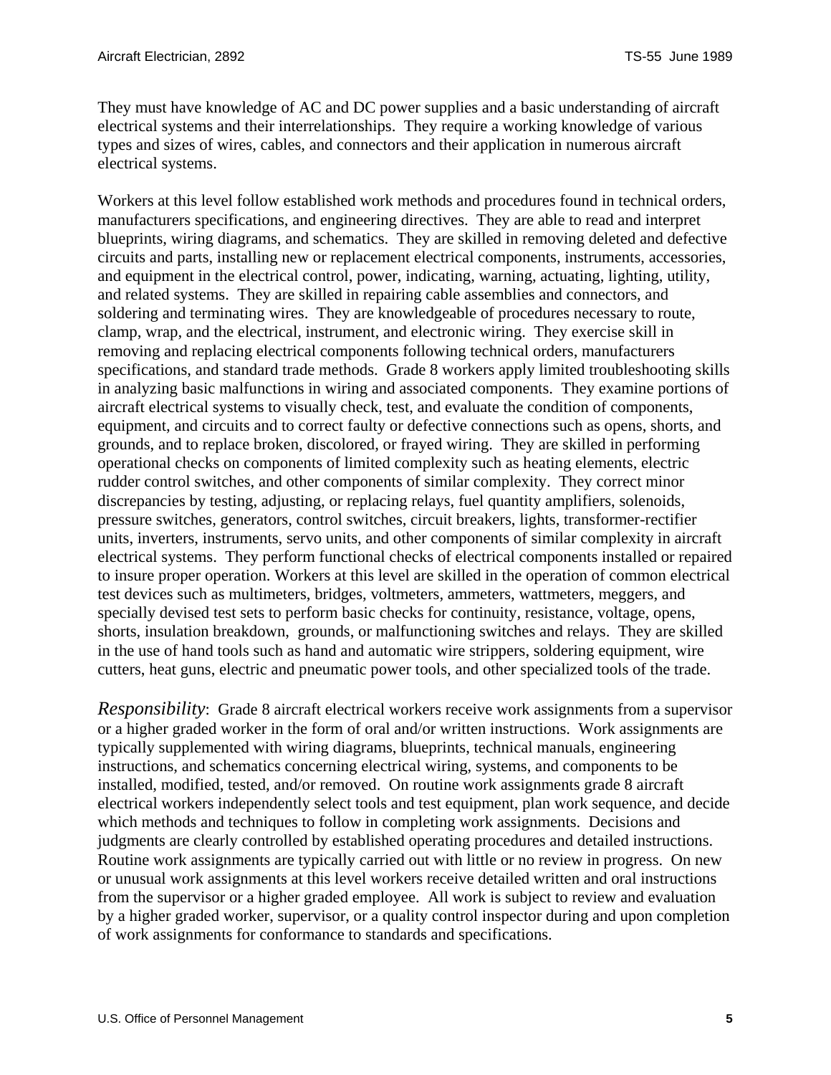They must have knowledge of AC and DC power supplies and a basic understanding of aircraft electrical systems and their interrelationships. They require a working knowledge of various types and sizes of wires, cables, and connectors and their application in numerous aircraft electrical systems.

Workers at this level follow established work methods and procedures found in technical orders, manufacturers specifications, and engineering directives. They are able to read and interpret blueprints, wiring diagrams, and schematics. They are skilled in removing deleted and defective circuits and parts, installing new or replacement electrical components, instruments, accessories, and equipment in the electrical control, power, indicating, warning, actuating, lighting, utility, and related systems. They are skilled in repairing cable assemblies and connectors, and soldering and terminating wires. They are knowledgeable of procedures necessary to route, clamp, wrap, and the electrical, instrument, and electronic wiring. They exercise skill in removing and replacing electrical components following technical orders, manufacturers specifications, and standard trade methods. Grade 8 workers apply limited troubleshooting skills in analyzing basic malfunctions in wiring and associated components. They examine portions of aircraft electrical systems to visually check, test, and evaluate the condition of components, equipment, and circuits and to correct faulty or defective connections such as opens, shorts, and grounds, and to replace broken, discolored, or frayed wiring. They are skilled in performing operational checks on components of limited complexity such as heating elements, electric rudder control switches, and other components of similar complexity. They correct minor discrepancies by testing, adjusting, or replacing relays, fuel quantity amplifiers, solenoids, pressure switches, generators, control switches, circuit breakers, lights, transformer-rectifier units, inverters, instruments, servo units, and other components of similar complexity in aircraft electrical systems. They perform functional checks of electrical components installed or repaired to insure proper operation. Workers at this level are skilled in the operation of common electrical test devices such as multimeters, bridges, voltmeters, ammeters, wattmeters, meggers, and specially devised test sets to perform basic checks for continuity, resistance, voltage, opens, shorts, insulation breakdown, grounds, or malfunctioning switches and relays. They are skilled in the use of hand tools such as hand and automatic wire strippers, soldering equipment, wire cutters, heat guns, electric and pneumatic power tools, and other specialized tools of the trade.

*Responsibility*: Grade 8 aircraft electrical workers receive work assignments from a supervisor or a higher graded worker in the form of oral and/or written instructions. Work assignments are typically supplemented with wiring diagrams, blueprints, technical manuals, engineering instructions, and schematics concerning electrical wiring, systems, and components to be installed, modified, tested, and/or removed. On routine work assignments grade 8 aircraft electrical workers independently select tools and test equipment, plan work sequence, and decide which methods and techniques to follow in completing work assignments. Decisions and judgments are clearly controlled by established operating procedures and detailed instructions. Routine work assignments are typically carried out with little or no review in progress. On new or unusual work assignments at this level workers receive detailed written and oral instructions from the supervisor or a higher graded employee. All work is subject to review and evaluation by a higher graded worker, supervisor, or a quality control inspector during and upon completion of work assignments for conformance to standards and specifications.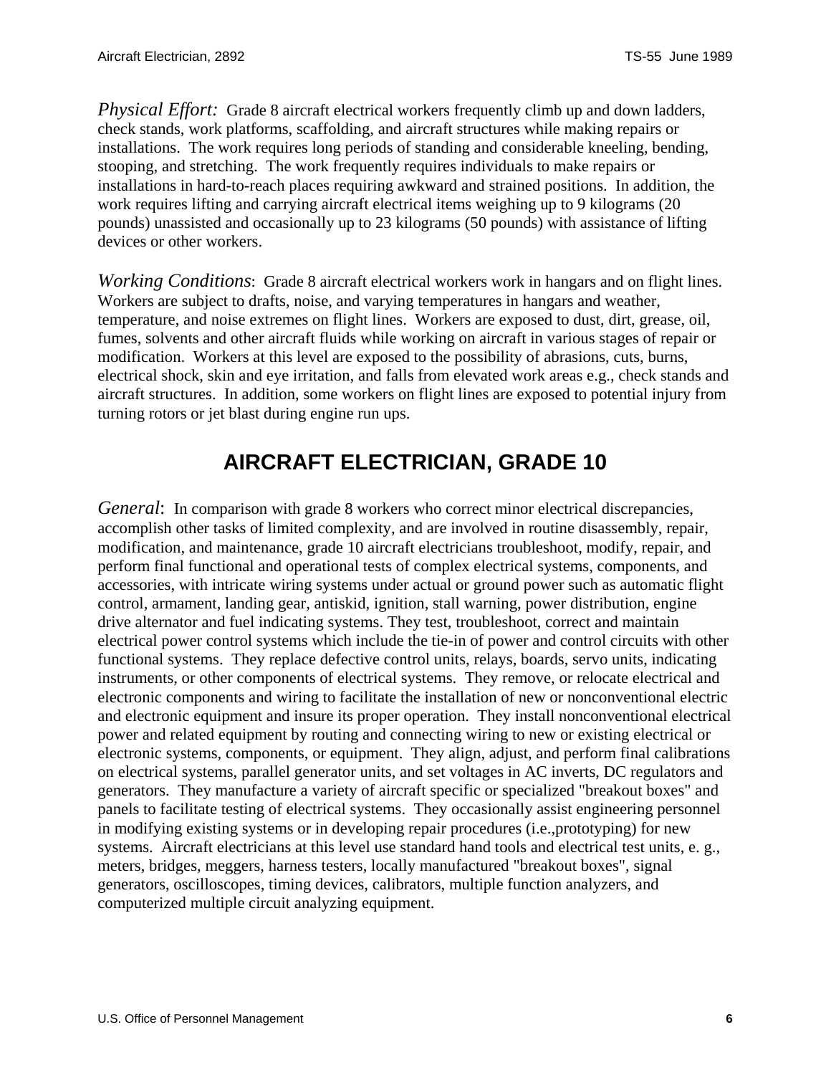<span id="page-5-0"></span>*Physical Effort:* Grade 8 aircraft electrical workers frequently climb up and down ladders, check stands, work platforms, scaffolding, and aircraft structures while making repairs or installations. The work requires long periods of standing and considerable kneeling, bending, stooping, and stretching. The work frequently requires individuals to make repairs or installations in hard-to-reach places requiring awkward and strained positions. In addition, the work requires lifting and carrying aircraft electrical items weighing up to 9 kilograms (20 pounds) unassisted and occasionally up to 23 kilograms (50 pounds) with assistance of lifting devices or other workers.

*Working Conditions*: Grade 8 aircraft electrical workers work in hangars and on flight lines. Workers are subject to drafts, noise, and varying temperatures in hangars and weather, temperature, and noise extremes on flight lines. Workers are exposed to dust, dirt, grease, oil, fumes, solvents and other aircraft fluids while working on aircraft in various stages of repair or modification. Workers at this level are exposed to the possibility of abrasions, cuts, burns, electrical shock, skin and eye irritation, and falls from elevated work areas e.g., check stands and aircraft structures. In addition, some workers on flight lines are exposed to potential injury from turning rotors or jet blast during engine run ups.

#### **AIRCRAFT ELECTRICIAN, GRADE 10**

*General*: In comparison with grade 8 workers who correct minor electrical discrepancies, accomplish other tasks of limited complexity, and are involved in routine disassembly, repair, modification, and maintenance, grade 10 aircraft electricians troubleshoot, modify, repair, and perform final functional and operational tests of complex electrical systems, components, and accessories, with intricate wiring systems under actual or ground power such as automatic flight control, armament, landing gear, antiskid, ignition, stall warning, power distribution, engine drive alternator and fuel indicating systems. They test, troubleshoot, correct and maintain electrical power control systems which include the tie-in of power and control circuits with other functional systems. They replace defective control units, relays, boards, servo units, indicating instruments, or other components of electrical systems. They remove, or relocate electrical and electronic components and wiring to facilitate the installation of new or nonconventional electric and electronic equipment and insure its proper operation. They install nonconventional electrical power and related equipment by routing and connecting wiring to new or existing electrical or electronic systems, components, or equipment. They align, adjust, and perform final calibrations on electrical systems, parallel generator units, and set voltages in AC inverts, DC regulators and generators. They manufacture a variety of aircraft specific or specialized "breakout boxes" and panels to facilitate testing of electrical systems. They occasionally assist engineering personnel in modifying existing systems or in developing repair procedures (i.e.,prototyping) for new systems. Aircraft electricians at this level use standard hand tools and electrical test units, e. g., meters, bridges, meggers, harness testers, locally manufactured "breakout boxes", signal generators, oscilloscopes, timing devices, calibrators, multiple function analyzers, and computerized multiple circuit analyzing equipment.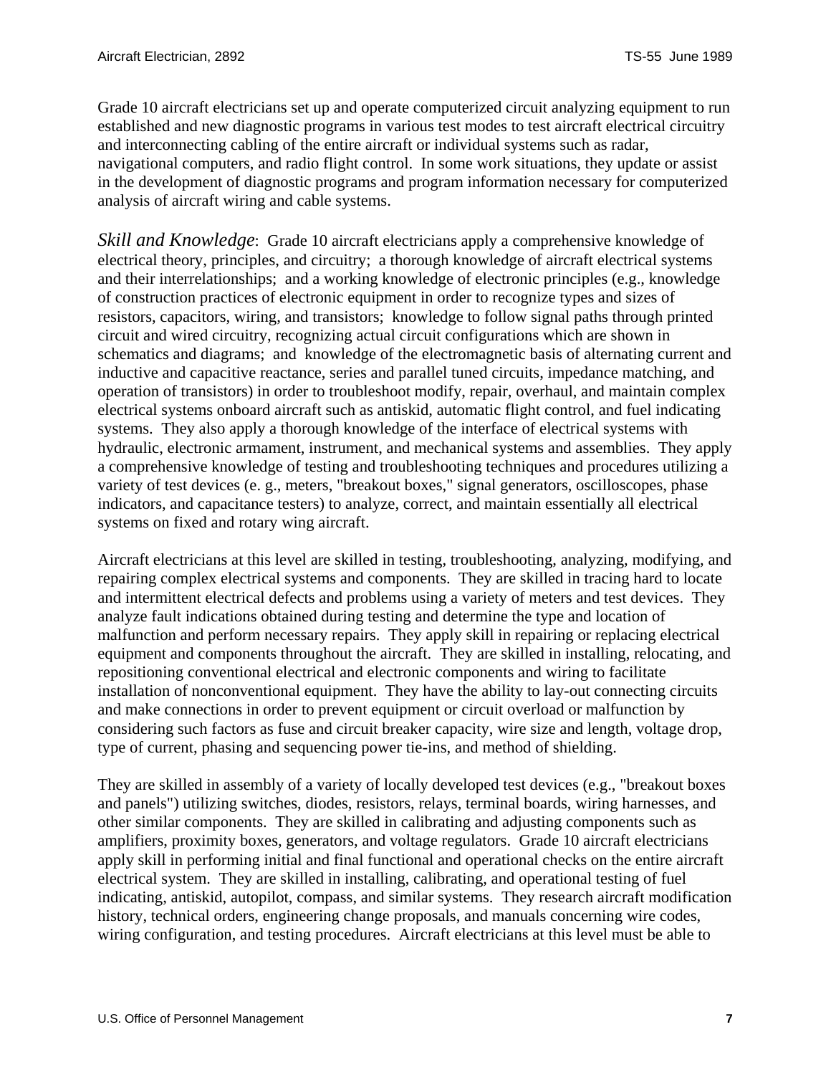Grade 10 aircraft electricians set up and operate computerized circuit analyzing equipment to run established and new diagnostic programs in various test modes to test aircraft electrical circuitry and interconnecting cabling of the entire aircraft or individual systems such as radar, navigational computers, and radio flight control. In some work situations, they update or assist in the development of diagnostic programs and program information necessary for computerized analysis of aircraft wiring and cable systems.

*Skill and Knowledge*: Grade 10 aircraft electricians apply a comprehensive knowledge of electrical theory, principles, and circuitry; a thorough knowledge of aircraft electrical systems and their interrelationships; and a working knowledge of electronic principles (e.g., knowledge of construction practices of electronic equipment in order to recognize types and sizes of resistors, capacitors, wiring, and transistors; knowledge to follow signal paths through printed circuit and wired circuitry, recognizing actual circuit configurations which are shown in schematics and diagrams; and knowledge of the electromagnetic basis of alternating current and inductive and capacitive reactance, series and parallel tuned circuits, impedance matching, and operation of transistors) in order to troubleshoot modify, repair, overhaul, and maintain complex electrical systems onboard aircraft such as antiskid, automatic flight control, and fuel indicating systems. They also apply a thorough knowledge of the interface of electrical systems with hydraulic, electronic armament, instrument, and mechanical systems and assemblies. They apply a comprehensive knowledge of testing and troubleshooting techniques and procedures utilizing a variety of test devices (e. g., meters, "breakout boxes," signal generators, oscilloscopes, phase indicators, and capacitance testers) to analyze, correct, and maintain essentially all electrical systems on fixed and rotary wing aircraft.

Aircraft electricians at this level are skilled in testing, troubleshooting, analyzing, modifying, and repairing complex electrical systems and components. They are skilled in tracing hard to locate and intermittent electrical defects and problems using a variety of meters and test devices. They analyze fault indications obtained during testing and determine the type and location of malfunction and perform necessary repairs. They apply skill in repairing or replacing electrical equipment and components throughout the aircraft. They are skilled in installing, relocating, and repositioning conventional electrical and electronic components and wiring to facilitate installation of nonconventional equipment. They have the ability to lay-out connecting circuits and make connections in order to prevent equipment or circuit overload or malfunction by considering such factors as fuse and circuit breaker capacity, wire size and length, voltage drop, type of current, phasing and sequencing power tie-ins, and method of shielding.

They are skilled in assembly of a variety of locally developed test devices (e.g., "breakout boxes and panels") utilizing switches, diodes, resistors, relays, terminal boards, wiring harnesses, and other similar components. They are skilled in calibrating and adjusting components such as amplifiers, proximity boxes, generators, and voltage regulators. Grade 10 aircraft electricians apply skill in performing initial and final functional and operational checks on the entire aircraft electrical system. They are skilled in installing, calibrating, and operational testing of fuel indicating, antiskid, autopilot, compass, and similar systems. They research aircraft modification history, technical orders, engineering change proposals, and manuals concerning wire codes, wiring configuration, and testing procedures. Aircraft electricians at this level must be able to